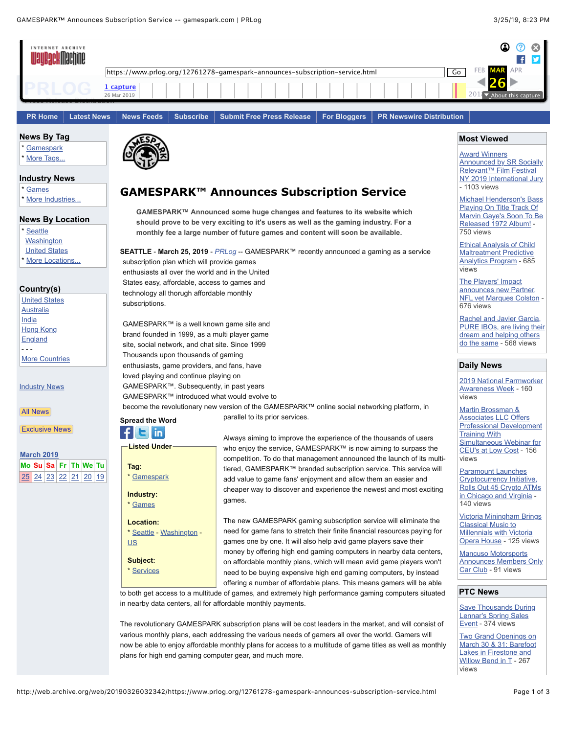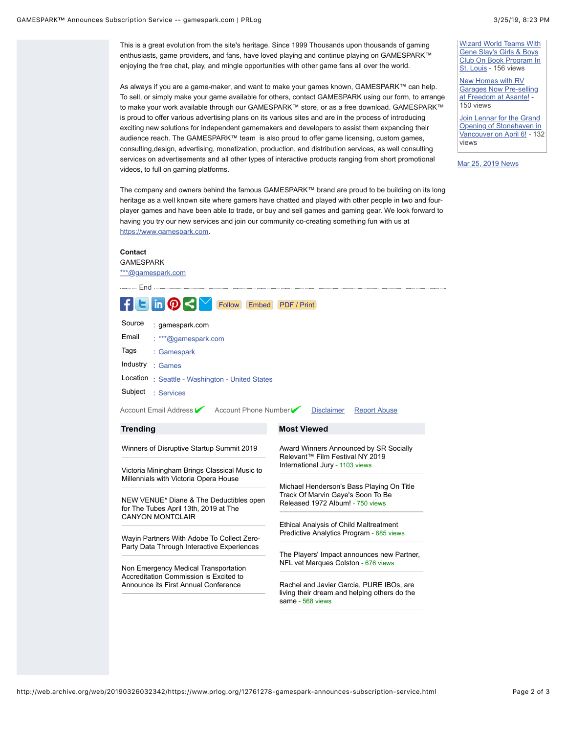This is a great evolution from the site's heritage. Since 1999 Thousands upon thousands of gaming enthusiasts, game providers, and fans, have loved playing and continue playing on GAMESPARK™ enjoying the free chat, play, and mingle opportunities with other game fans all over the world.

As always if you are a game-maker, and want to make your games known, GAMESPARK™ can help. To sell, or simply make your game available for others, contact GAMESPARK using our form, to arrange to make your work available through our GAMESPARK™ store, or as a free download. GAMESPARK™ is proud to offer various advertising plans on its various sites and are in the process of introducing exciting new solutions for independent gamemakers and developers to assist them expanding their audience reach. The GAMESPARK™ team is also proud to offer game licensing, custom games, consulting,design, advertising, monetization, production, and distribution services, as well consulting services on advertisements and all other types of interactive products ranging from short promotional videos, to full on gaming platforms.

The company and owners behind the famous GAMESPARK™ brand are proud to be building on its long heritage as a well known site where gamers have chatted and played with other people in two and fourplayer games and have been able to trade, or buy and sell games and gaming gear. We look forward to having you try our new services and join our community co-creating something fun with us at [https://www.gamespark.com](http://web.archive.org/web/20190326032342/https://www.gamespark.com/).

**Contact** GAMESPARK [\\*\\*\\*@gamespark.com](http://web.archive.org/web/20190326032342/https://www.prlog.org/email-contact.html#12761278) EndЕ  $\ln \omega$ Follow Embed PDF / Print Source : gamespark.com Email : [\\*\\*\\*@gamespark.com](http://web.archive.org/web/20190326032342/https://www.prlog.org/email-contact.html#12761278) Tags [Gamespark](http://web.archive.org/web/20190326032342/https://www.prlog.org/news/tag/gamespark/) Industry : [Games](http://web.archive.org/web/20190326032342/https://www.prlog.org/news/ind/games/) Location : [Seattle](http://web.archive.org/web/20190326032342/https://www.prlog.org/news/us,washington,seattle/) - [Washington](http://web.archive.org/web/20190326032342/https://www.prlog.org/news/us,washington/) - [United States](http://web.archive.org/web/20190326032342/https://www.prlog.org/news/us/) Subject : [Services](http://web.archive.org/web/20190326032342/https://www.prlog.org/news/sbj/services/) Account Email Address **Account Phone Number [Disclaimer](http://web.archive.org/web/20190326032342/https://www.prlog.org/static/disclaimer.html)** [Report Abuse](http://web.archive.org/web/20190326032342/https://www.prlog.org/report-abuse.html?id=12761278) **Trending Most Viewed** [Winners of Disruptive Startup Summit 2019](http://web.archive.org/web/20190326032342/https://www.prlog.org/12761269-winners-of-disruptive-startup-summit-2019.html) [Award Winners Announced by SR Socially](http://web.archive.org/web/20190326032342/https://www.prlog.org/12760840-award-winners-announced-by-sr-socially-relevant-film-festival-ny-2019-international-jury.html) Relevant™ Film Festival NY 2019 International Jury - 1103 views [Victoria Miningham Brings Classical Music to](http://web.archive.org/web/20190326032342/https://www.prlog.org/12761199-victoria-miningham-brings-classical-music-to-millennials-with-victoria-opera-house.html) Millennials with Victoria Opera House [Michael Henderson's Bass Playing On Title](http://web.archive.org/web/20190326032342/https://www.prlog.org/12760574-michael-hendersons-bass-playing-on-title-track-of-marvin-gayes-soon-to-be-released-1972-album.html) Track Of Marvin Gaye's Soon To Be [NEW VENUE\\* Diane & The Deductibles open](http://web.archive.org/web/20190326032342/https://www.prlog.org/12760969-new-venue-diane-the-deductibles-open-for-the-tubes-april-13th-2019-at-the-canyon-montclair.html) Released 1972 Album! - 750 views for The Tubes April 13th, 2019 at The CANYON MONTCLAIR [Ethical Analysis of Child Maltreatment](http://web.archive.org/web/20190326032342/https://www.prlog.org/12760054-ethical-analysis-of-child-maltreatment-predictive-analytics-program.html) Predictive Analytics Program - 685 views [Wayin Partners With Adobe To Collect Zero-](http://web.archive.org/web/20190326032342/https://www.prlog.org/12761196-wayin-partners-with-adobe-to-collect-zero-party-data-through-interactive-experiences.html)Party Data Through Interactive Experiences [The Players' Impact announces new Partner,](http://web.archive.org/web/20190326032342/https://www.prlog.org/12760216-the-players-impact-announces-new-partner-nfl-vet-marques-colston.html) NFL vet Marques Colston - 676 views [Non Emergency Medical Transportation](http://web.archive.org/web/20190326032342/https://www.prlog.org/12761242-non-emergency-medical-transportation-accreditation-commission-is-excited-to-announce-its-first-annual-conference.html) Accreditation Commission is Excited to Announce its First Annual Conference Rachel and Javier Garcia, PURE IBOs, are [living their dream and helping others do the](http://web.archive.org/web/20190326032342/https://www.prlog.org/12760690-rachel-and-javier-garcia-pure-ibos-are-living-their-dream-and-helping-others-do-the-same.html) same - 568 views

[Wizard World Teams With](http://web.archive.org/web/20190326032342/https://www.prlog.org/12760411-wizard-world-teams-with-gene-slays-girls-boys-club-on-book-program-in-st-louis.html) Gene Slay's Girls & Boys Club On Book Program In St. Louis - 156 views

New Homes with RV [Garages Now Pre-selling](http://web.archive.org/web/20190326032342/https://www.prlog.org/12760515-new-homes-with-rv-garages-now-pre-selling-at-freedom-at-asante.html) at Freedom at Asante! - 150 views

Join Lennar for the Grand [Opening of Stonehaven in](http://web.archive.org/web/20190326032342/https://www.prlog.org/12760923-join-lennar-for-the-grand-opening-of-stonehaven-in-vancouver-on-april-6.html) Vancouver on April 6! - 132 views

[Mar 25, 2019 News](http://web.archive.org/web/20190326032342/https://www.prlog.org/news/2019/20190325/)